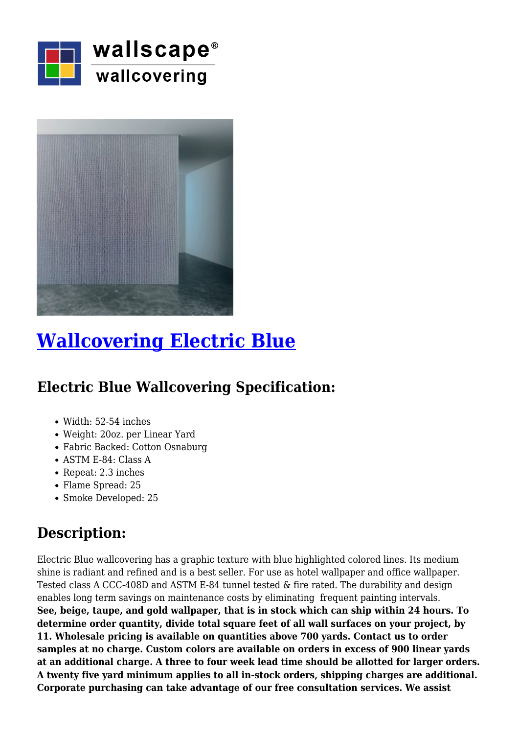



## **[Wallcovering Electric Blue](https://wallscapeinc.com/wallcovering/wallcovering-electric-blue/)**

## **Electric Blue Wallcovering Specification:**

- Width: 52-54 inches
- Weight: 20oz. per Linear Yard
- Fabric Backed: Cotton Osnaburg
- ASTM E-84: Class A
- Repeat: 2.3 inches
- Flame Spread: 25
- Smoke Developed: 25

## **Description:**

Electric Blue wallcovering has a graphic texture with blue highlighted colored lines. Its medium shine is radiant and refined and is a best seller. For use as hotel wallpaper and office wallpaper. Tested class A CCC-408D and ASTM E-84 tunnel tested & fire rated. The durability and design enables long term savings on maintenance costs by eliminating frequent painting intervals. **See, beige, taupe, and gold wallpaper, that is in stock which can ship within 24 hours. To determine order quantity, divide total square feet of all wall surfaces on your project, by 11. Wholesale pricing is available on quantities above 700 yards. Contact us to order samples at no charge. Custom colors are available on orders in excess of 900 linear yards at an additional charge. A three to four week lead time should be allotted for larger orders. A twenty five yard minimum applies to all in-stock orders, shipping charges are additional. Corporate purchasing can take advantage of our free consultation services. We assist**